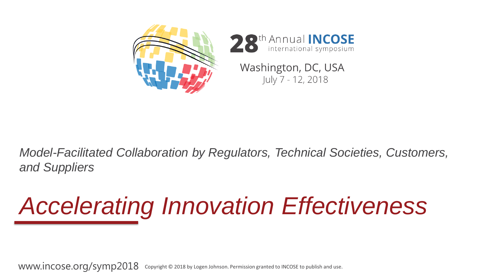

#### *Model-Facilitated Collaboration by Regulators, Technical Societies, Customers, and Suppliers*

# *Accelerating Innovation Effectiveness*

www.incose.org/symp2018 Copyright © 2018 by Logen Johnson. Permission granted to INCOSE to publish and use.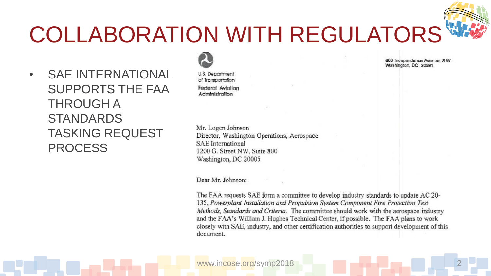### COLLABORATION WITH REGULATORS

• SAE INTERNATIONAL SUPPORTS THE FAA THROUGH A **STANDARDS** TASKING REQUEST PROCESS

**U.S. Department** of Transportation Federal Aviation Administration

Mr. Logen Johnson Director, Washington Operations, Aerospace **SAE** International 1200 G. Street NW, Suite 800 Washington, DC 20005

Dear Mr. Johnson:

The FAA requests SAE form a committee to develop industry standards to update AC 20-135, Powerplant Installation and Propulsion System Component Fire Protection Test Methods, Standards and Criteria. The committee should work with the aerospace industry and the FAA's William J. Hughes Technical Center, if possible. The FAA plans to work closely with SAE, industry, and other certification authorities to support development of this document.

800 Independence Avenue, S.W. Washington, DC 20591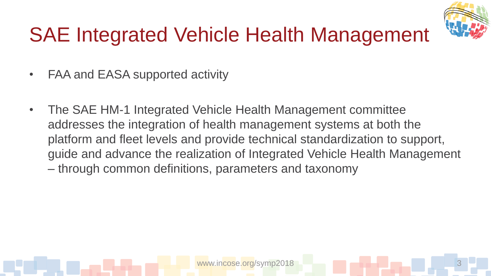

#### SAE Integrated Vehicle Health Management

- FAA and EASA supported activity
- The SAE HM-1 Integrated Vehicle Health Management committee addresses the integration of health management systems at both the platform and fleet levels and provide technical standardization to support, guide and advance the realization of Integrated Vehicle Health Management – through common definitions, parameters and taxonomy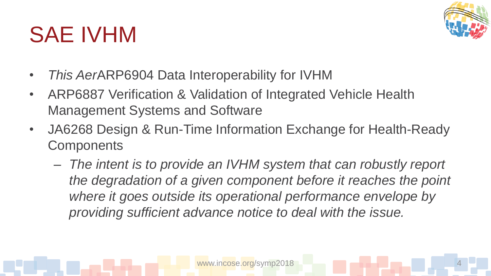### SAE IVHM



- *This Aer*ARP6904 Data Interoperability for IVHM
- ARP6887 Verification & Validation of Integrated Vehicle Health Management Systems and Software
- JA6268 Design & Run-Time Information Exchange for Health-Ready **Components** 
	- *The intent is to provide an IVHM system that can robustly report the degradation of a given component before it reaches the point where it goes outside its operational performance envelope by providing sufficient advance notice to deal with the issue.*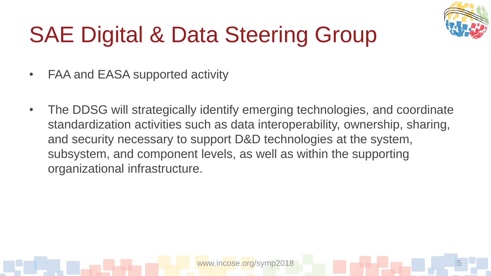

# SAE Digital & Data Steering Group

- FAA and EASA supported activity
- The DDSG will strategically identify emerging technologies, and coordinate standardization activities such as data interoperability, ownership, sharing, and security necessary to support D&D technologies at the system, subsystem, and component levels, as well as within the supporting organizational infrastructure.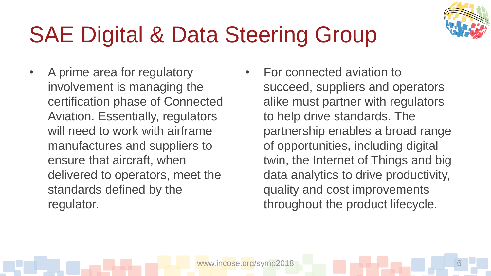

## SAE Digital & Data Steering Group

- A prime area for regulatory involvement is managing the certification phase of Connected Aviation. Essentially, regulators will need to work with airframe manufactures and suppliers to ensure that aircraft, when delivered to operators, meet the standards defined by the regulator.
- For connected aviation to succeed, suppliers and operators alike must partner with regulators to help drive standards. The partnership enables a broad range of opportunities, including digital twin, the Internet of Things and big data analytics to drive productivity, quality and cost improvements throughout the product lifecycle.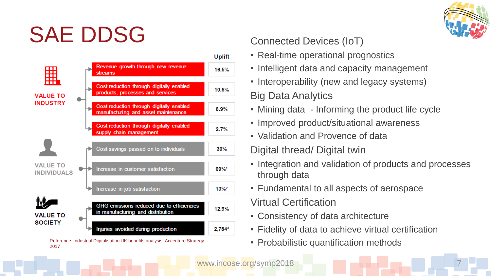### SAE DDSG

2017



#### Digital thread/ Digital twin

• Validation and Provence of data

Connected Devices (IoT)

• Real-time operational prognostics

• Intelligent data and capacity management

• Interoperability (new and legacy systems)

• Improved product/situational awareness

• Mining data - Informing the product life cycle

- Integration and validation of products and processes through data
- Fundamental to all aspects of aerospace

Virtual Certification

Big Data Analytics

- Consistency of data architecture
- Fidelity of data to achieve virtual certification
- Reference: Industrial Digitalisation UK benefits analysis, Accenture Strategy **Probabilistic quantification methods**

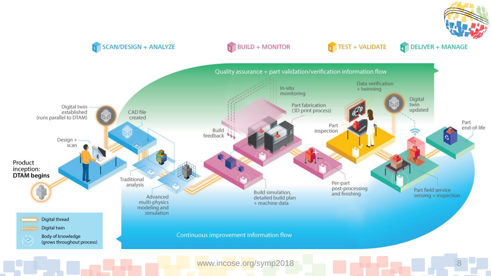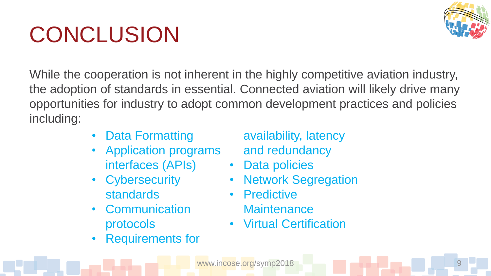# **CONCLUSION**



While the cooperation is not inherent in the highly competitive aviation industry, the adoption of standards in essential. Connected aviation will likely drive many opportunities for industry to adopt common development practices and policies including:

- Data Formatting
- Application programs interfaces (APIs)
- **Cybersecurity** standards
- **Communication** protocols
- Requirements for

availability, latency and redundancy

- Data policies
- **Network Segregation**
- Predictive **Maintenance**
- Virtual Certification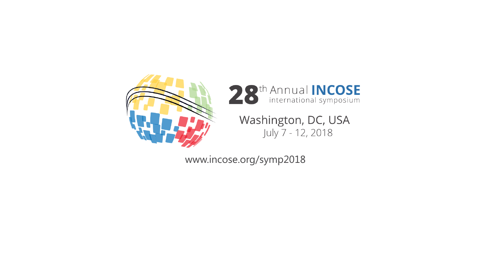



Washington, DC, USA July 7 - 12, 2018

www.incose.org/symp2018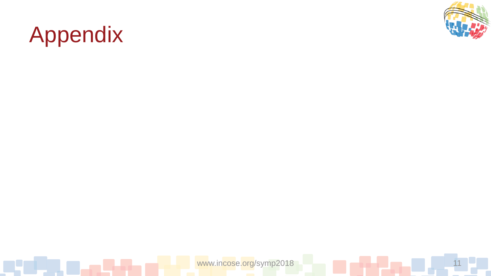

### Appendix